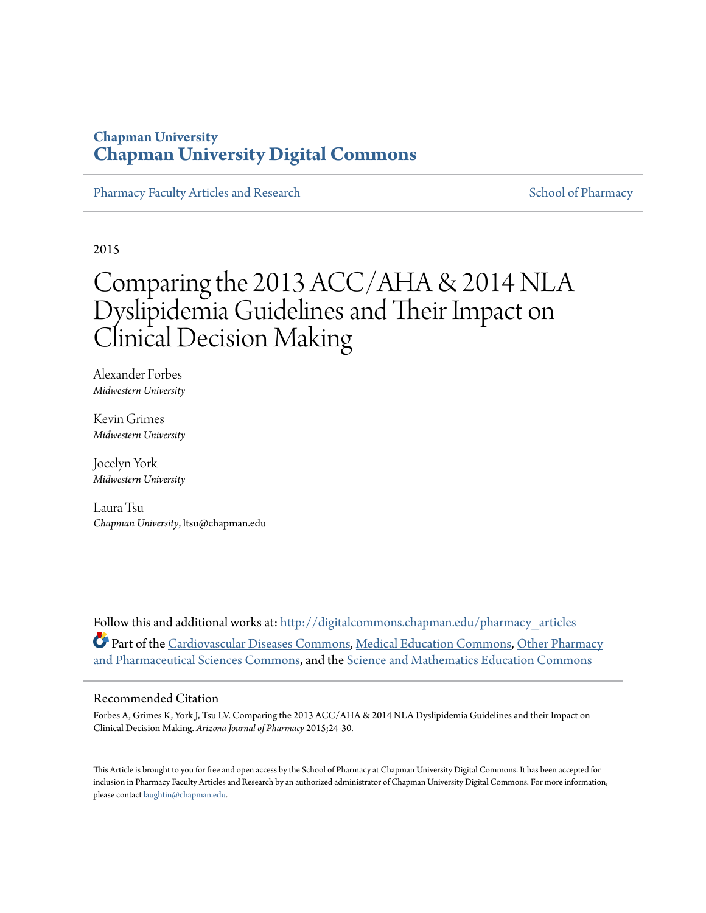## **Chapman University [Chapman University Digital Commons](http://digitalcommons.chapman.edu?utm_source=digitalcommons.chapman.edu%2Fpharmacy_articles%2F224&utm_medium=PDF&utm_campaign=PDFCoverPages)**

[Pharmacy Faculty Articles and Research](http://digitalcommons.chapman.edu/pharmacy_articles?utm_source=digitalcommons.chapman.edu%2Fpharmacy_articles%2F224&utm_medium=PDF&utm_campaign=PDFCoverPages) [School of Pharmacy](http://digitalcommons.chapman.edu/cusp?utm_source=digitalcommons.chapman.edu%2Fpharmacy_articles%2F224&utm_medium=PDF&utm_campaign=PDFCoverPages) Faculty Articles and Research School of Pharmacy

2015

# Comparing the 2013 ACC/AHA & 2014 NLA Dyslipidemia Guidelines and Their Impact on Clinical Decision Making

Alexander Forbes *Midwestern University*

Kevin Grimes *Midwestern University*

Jocelyn York *Midwestern University*

Laura Tsu *Chapman University*, ltsu@chapman.edu

Follow this and additional works at: [http://digitalcommons.chapman.edu/pharmacy\\_articles](http://digitalcommons.chapman.edu/pharmacy_articles?utm_source=digitalcommons.chapman.edu%2Fpharmacy_articles%2F224&utm_medium=PDF&utm_campaign=PDFCoverPages) Part of the [Cardiovascular Diseases Commons,](http://network.bepress.com/hgg/discipline/929?utm_source=digitalcommons.chapman.edu%2Fpharmacy_articles%2F224&utm_medium=PDF&utm_campaign=PDFCoverPages) [Medical Education Commons,](http://network.bepress.com/hgg/discipline/1125?utm_source=digitalcommons.chapman.edu%2Fpharmacy_articles%2F224&utm_medium=PDF&utm_campaign=PDFCoverPages) [Other Pharmacy](http://network.bepress.com/hgg/discipline/737?utm_source=digitalcommons.chapman.edu%2Fpharmacy_articles%2F224&utm_medium=PDF&utm_campaign=PDFCoverPages) [and Pharmaceutical Sciences Commons](http://network.bepress.com/hgg/discipline/737?utm_source=digitalcommons.chapman.edu%2Fpharmacy_articles%2F224&utm_medium=PDF&utm_campaign=PDFCoverPages), and the [Science and Mathematics Education Commons](http://network.bepress.com/hgg/discipline/800?utm_source=digitalcommons.chapman.edu%2Fpharmacy_articles%2F224&utm_medium=PDF&utm_campaign=PDFCoverPages)

#### Recommended Citation

Forbes A, Grimes K, York J, Tsu LV. Comparing the 2013 ACC/AHA & 2014 NLA Dyslipidemia Guidelines and their Impact on Clinical Decision Making. *Arizona Journal of Pharmacy* 2015;24-30.

This Article is brought to you for free and open access by the School of Pharmacy at Chapman University Digital Commons. It has been accepted for inclusion in Pharmacy Faculty Articles and Research by an authorized administrator of Chapman University Digital Commons. For more information, please contact [laughtin@chapman.edu.](mailto:laughtin@chapman.edu)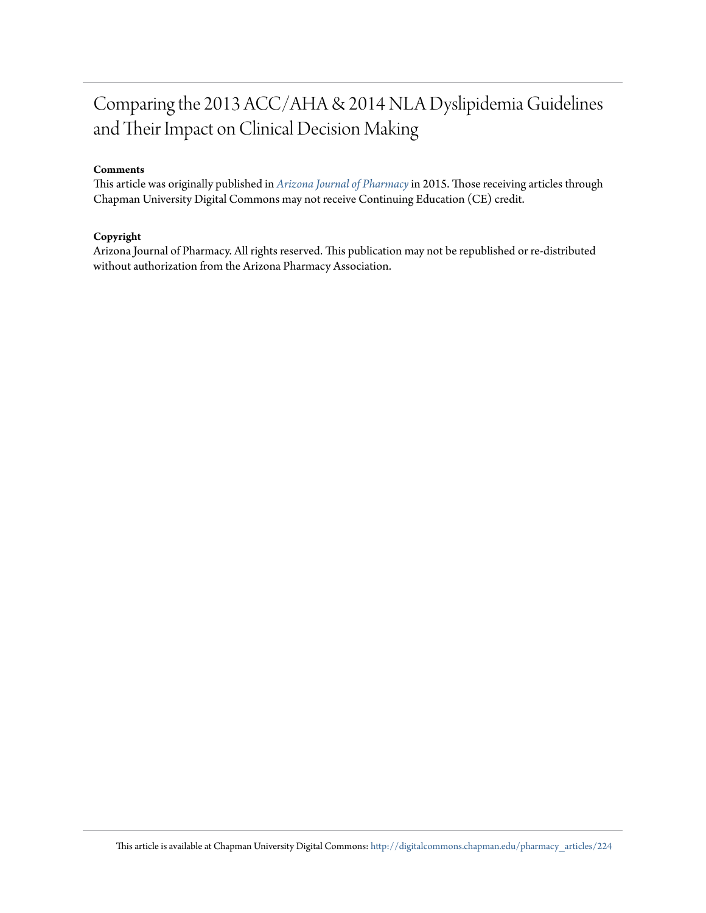## Comparing the 2013 ACC/AHA & 2014 NLA Dyslipidemia Guidelines and Their Impact on Clinical Decision Making

#### **Comments**

This article was originally published in *[Arizona Journal of Pharmacy](http://www.azpharmacy.org/?page=AJP)*in 2015. Those receiving articles through Chapman University Digital Commons may not receive Continuing Education (CE) credit.

#### **Copyright**

Arizona Journal of Pharmacy. All rights reserved. This publication may not be republished or re-distributed without authorization from the Arizona Pharmacy Association.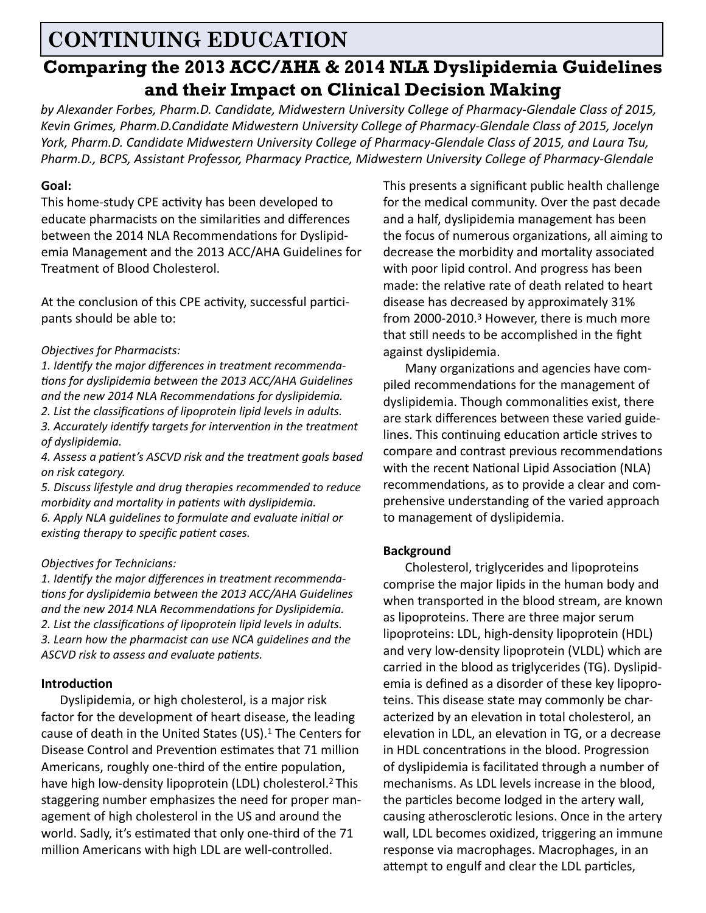## **CONTINUING EDUCATION**

## **Comparing the 2013 ACC/AHA & 2014 NLA Dyslipidemia Guidelines and their Impact on Clinical Decision Making**

*by Alexander Forbes, Pharm.D. Candidate, Midwestern University College of Pharmacy-Glendale Class of 2015, Kevin Grimes, Pharm.D.Candidate Midwestern University College of Pharmacy-Glendale Class of 2015, Jocelyn York, Pharm.D. Candidate Midwestern University College of Pharmacy-Glendale Class of 2015, and Laura Tsu, Pharm.D., BCPS, Assistant Professor, Pharmacy Practice, Midwestern University College of Pharmacy-Glendale*

#### **Goal:**

This home-study CPE activity has been developed to educate pharmacists on the similarities and differences between the 2014 NLA Recommendations for Dyslipidemia Management and the 2013 ACC/AHA Guidelines for Treatment of Blood Cholesterol.

At the conclusion of this CPE activity, successful participants should be able to:

#### *Objectives for Pharmacists:*

*1. Identify the major differences in treatment recommendations for dyslipidemia between the 2013 ACC/AHA Guidelines and the new 2014 NLA Recommendations for dyslipidemia. 2. List the classifications of lipoprotein lipid levels in adults. 3. Accurately identify targets for intervention in the treatment of dyslipidemia.*

*4. Assess a patient's ASCVD risk and the treatment goals based on risk category.*

*5. Discuss lifestyle and drug therapies recommended to reduce morbidity and mortality in patients with dyslipidemia. 6. Apply NLA guidelines to formulate and evaluate initial or existing therapy to specific patient cases.*

#### *Objectives for Technicians:*

*1. Identify the major differences in treatment recommendations for dyslipidemia between the 2013 ACC/AHA Guidelines and the new 2014 NLA Recommendations for Dyslipidemia. 2. List the classifications of lipoprotein lipid levels in adults. 3. Learn how the pharmacist can use NCA guidelines and the ASCVD risk to assess and evaluate patients.* 

#### **Introduction**

 Dyslipidemia, or high cholesterol, is a major risk factor for the development of heart disease, the leading cause of death in the United States (US).1 The Centers for Disease Control and Prevention estimates that 71 million Americans, roughly one-third of the entire population, have high low-density lipoprotein (LDL) cholesterol.2 This staggering number emphasizes the need for proper management of high cholesterol in the US and around the world. Sadly, it's estimated that only one-third of the 71 million Americans with high LDL are well-controlled.

This presents a significant public health challenge for the medical community. Over the past decade and a half, dyslipidemia management has been the focus of numerous organizations, all aiming to decrease the morbidity and mortality associated with poor lipid control. And progress has been made: the relative rate of death related to heart disease has decreased by approximately 31% from 2000-2010.3 However, there is much more that still needs to be accomplished in the fight against dyslipidemia.

 Many organizations and agencies have compiled recommendations for the management of dyslipidemia. Though commonalities exist, there are stark differences between these varied guidelines. This continuing education article strives to compare and contrast previous recommendations with the recent National Lipid Association (NLA) recommendations, as to provide a clear and comprehensive understanding of the varied approach to management of dyslipidemia.

#### **Background**

 Cholesterol, triglycerides and lipoproteins comprise the major lipids in the human body and when transported in the blood stream, are known as lipoproteins. There are three major serum lipoproteins: LDL, high-density lipoprotein (HDL) and very low-density lipoprotein (VLDL) which are carried in the blood as triglycerides (TG). Dyslipidemia is defined as a disorder of these key lipoproteins. This disease state may commonly be characterized by an elevation in total cholesterol, an elevation in LDL, an elevation in TG, or a decrease in HDL concentrations in the blood. Progression of dyslipidemia is facilitated through a number of mechanisms. As LDL levels increase in the blood, the particles become lodged in the artery wall, causing atherosclerotic lesions. Once in the artery wall, LDL becomes oxidized, triggering an immune response via macrophages. Macrophages, in an attempt to engulf and clear the LDL particles,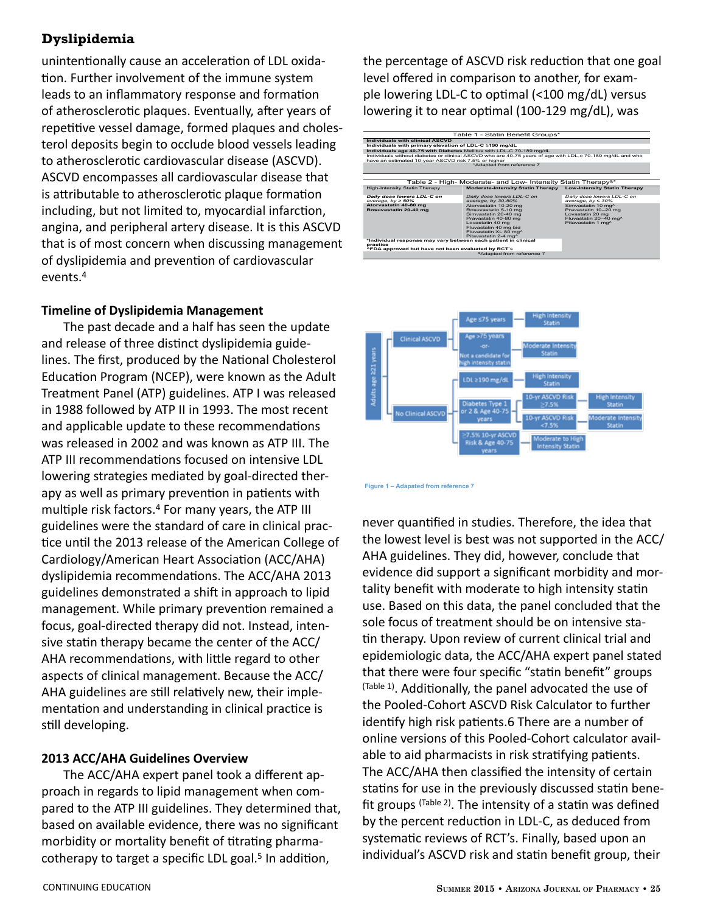unintentionally cause an acceleration of LDL oxidation. Further involvement of the immune system leads to an inflammatory response and formation of atherosclerotic plaques. Eventually, after years of repetitive vessel damage, formed plaques and cholesterol deposits begin to occlude blood vessels leading to atherosclerotic cardiovascular disease (ASCVD). ASCVD encompasses all cardiovascular disease that is attributable to atherosclerotic plaque formation including, but not limited to, myocardial infarction, angina, and peripheral artery disease. It is this ASCVD that is of most concern when discussing management of dyslipidemia and prevention of cardiovascular events.<sup>4</sup>

#### **Timeline of Dyslipidemia Management**

 The past decade and a half has seen the update and release of three distinct dyslipidemia guidelines. The first, produced by the National Cholesterol Education Program (NCEP), were known as the Adult Treatment Panel (ATP) guidelines. ATP I was released in 1988 followed by ATP II in 1993. The most recent and applicable update to these recommendations was released in 2002 and was known as ATP III. The ATP III recommendations focused on intensive LDL lowering strategies mediated by goal-directed therapy as well as primary prevention in patients with multiple risk factors.4 For many years, the ATP III guidelines were the standard of care in clinical practice until the 2013 release of the American College of Cardiology/American Heart Association (ACC/AHA) dyslipidemia recommendations. The ACC/AHA 2013 guidelines demonstrated a shift in approach to lipid management. While primary prevention remained a focus, goal-directed therapy did not. Instead, intensive statin therapy became the center of the ACC/ AHA recommendations, with little regard to other aspects of clinical management. Because the ACC/ AHA guidelines are still relatively new, their implementation and understanding in clinical practice is still developing.

#### **2013 ACC/AHA Guidelines Overview**

 The ACC/AHA expert panel took a different approach in regards to lipid management when compared to the ATP III guidelines. They determined that, based on available evidence, there was no significant morbidity or mortality benefit of titrating pharmacotherapy to target a specific LDL goal.<sup>5</sup> In addition,

the percentage of ASCVD risk reduction that one goal level offered in comparison to another, for example lowering LDL-C to optimal (<100 mg/dL) versus lowering it to near optimal (100-129 mg/dL), was





**Figure 1 – Adapated from reference 7** 

never quantified in studies. Therefore, the idea that the lowest level is best was not supported in the ACC/ AHA guidelines. They did, however, conclude that evidence did support a significant morbidity and mortality benefit with moderate to high intensity statin use. Based on this data, the panel concluded that the sole focus of treatment should be on intensive statin therapy. Upon review of current clinical trial and epidemiologic data, the ACC/AHA expert panel stated that there were four specific "statin benefit" groups (Table 1). Additionally, the panel advocated the use of the Pooled-Cohort ASCVD Risk Calculator to further identify high risk patients.6 There are a number of online versions of this Pooled-Cohort calculator available to aid pharmacists in risk stratifying patients. The ACC/AHA then classified the intensity of certain statins for use in the previously discussed statin benefit groups  $(Table 2)$ . The intensity of a statin was defined by the percent reduction in LDL-C, as deduced from systematic reviews of RCT's. Finally, based upon an individual's ASCVD risk and statin benefit group, their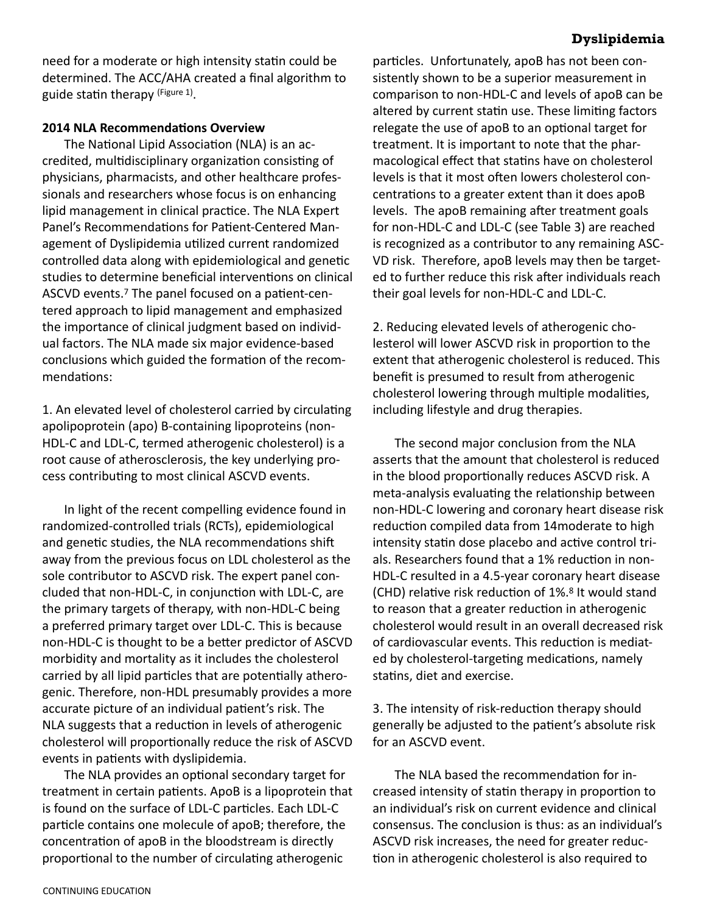need for a moderate or high intensity statin could be determined. The ACC/AHA created a final algorithm to guide statin therapy (Figure 1).

#### **2014 NLA Recommendations Overview**

 The National Lipid Association (NLA) is an accredited, multidisciplinary organization consisting of physicians, pharmacists, and other healthcare professionals and researchers whose focus is on enhancing lipid management in clinical practice. The NLA Expert Panel's Recommendations for Patient-Centered Management of Dyslipidemia utilized current randomized controlled data along with epidemiological and genetic studies to determine beneficial interventions on clinical ASCVD events.7 The panel focused on a patient-centered approach to lipid management and emphasized the importance of clinical judgment based on individual factors. The NLA made six major evidence-based conclusions which guided the formation of the recommendations:

1. An elevated level of cholesterol carried by circulating apolipoprotein (apo) B-containing lipoproteins (non-HDL-C and LDL-C, termed atherogenic cholesterol) is a root cause of atherosclerosis, the key underlying process contributing to most clinical ASCVD events.

 In light of the recent compelling evidence found in randomized-controlled trials (RCTs), epidemiological and genetic studies, the NLA recommendations shift away from the previous focus on LDL cholesterol as the sole contributor to ASCVD risk. The expert panel concluded that non-HDL-C, in conjunction with LDL-C, are the primary targets of therapy, with non-HDL-C being a preferred primary target over LDL-C. This is because non-HDL-C is thought to be a better predictor of ASCVD morbidity and mortality as it includes the cholesterol carried by all lipid particles that are potentially atherogenic. Therefore, non-HDL presumably provides a more accurate picture of an individual patient's risk. The NLA suggests that a reduction in levels of atherogenic cholesterol will proportionally reduce the risk of ASCVD events in patients with dyslipidemia.

 The NLA provides an optional secondary target for treatment in certain patients. ApoB is a lipoprotein that is found on the surface of LDL-C particles. Each LDL-C particle contains one molecule of apoB; therefore, the concentration of apoB in the bloodstream is directly proportional to the number of circulating atherogenic

particles. Unfortunately, apoB has not been consistently shown to be a superior measurement in comparison to non-HDL-C and levels of apoB can be altered by current statin use. These limiting factors relegate the use of apoB to an optional target for treatment. It is important to note that the pharmacological effect that statins have on cholesterol levels is that it most often lowers cholesterol concentrations to a greater extent than it does apoB levels. The apoB remaining after treatment goals for non-HDL-C and LDL-C (see Table 3) are reached is recognized as a contributor to any remaining ASC-VD risk. Therefore, apoB levels may then be targeted to further reduce this risk after individuals reach their goal levels for non-HDL-C and LDL-C.

2. Reducing elevated levels of atherogenic cholesterol will lower ASCVD risk in proportion to the extent that atherogenic cholesterol is reduced. This benefit is presumed to result from atherogenic cholesterol lowering through multiple modalities, including lifestyle and drug therapies.

 The second major conclusion from the NLA asserts that the amount that cholesterol is reduced in the blood proportionally reduces ASCVD risk. A meta-analysis evaluating the relationship between non-HDL-C lowering and coronary heart disease risk reduction compiled data from 14moderate to high intensity statin dose placebo and active control trials. Researchers found that a 1% reduction in non-HDL-C resulted in a 4.5-year coronary heart disease (CHD) relative risk reduction of 1%.8 It would stand to reason that a greater reduction in atherogenic cholesterol would result in an overall decreased risk of cardiovascular events. This reduction is mediated by cholesterol-targeting medications, namely statins, diet and exercise.

3. The intensity of risk-reduction therapy should generally be adjusted to the patient's absolute risk for an ASCVD event.

 The NLA based the recommendation for increased intensity of statin therapy in proportion to an individual's risk on current evidence and clinical consensus. The conclusion is thus: as an individual's ASCVD risk increases, the need for greater reduction in atherogenic cholesterol is also required to

#### **Dyslipidemia**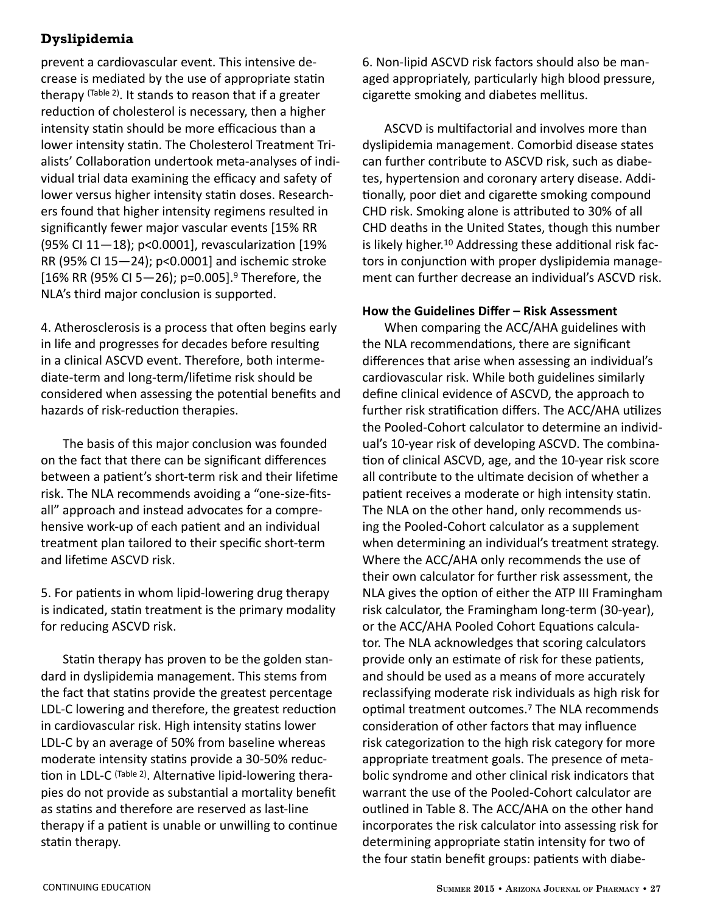prevent a cardiovascular event. This intensive decrease is mediated by the use of appropriate statin therapy (Table 2). It stands to reason that if a greater reduction of cholesterol is necessary, then a higher intensity statin should be more efficacious than a lower intensity statin. The Cholesterol Treatment Trialists' Collaboration undertook meta-analyses of individual trial data examining the efficacy and safety of lower versus higher intensity statin doses. Researchers found that higher intensity regimens resulted in significantly fewer major vascular events [15% RR (95% CI 11—18); p<0.0001], revascularization [19% RR (95% CI 15—24); p<0.0001] and ischemic stroke [16% RR (95% CI 5-26); p=0.005].<sup>9</sup> Therefore, the NLA's third major conclusion is supported.

4. Atherosclerosis is a process that often begins early in life and progresses for decades before resulting in a clinical ASCVD event. Therefore, both intermediate-term and long-term/lifetime risk should be considered when assessing the potential benefits and hazards of risk-reduction therapies.

 The basis of this major conclusion was founded on the fact that there can be significant differences between a patient's short-term risk and their lifetime risk. The NLA recommends avoiding a "one-size-fitsall" approach and instead advocates for a comprehensive work-up of each patient and an individual treatment plan tailored to their specific short-term and lifetime ASCVD risk.

5. For patients in whom lipid-lowering drug therapy is indicated, statin treatment is the primary modality for reducing ASCVD risk.

 Statin therapy has proven to be the golden standard in dyslipidemia management. This stems from the fact that statins provide the greatest percentage LDL-C lowering and therefore, the greatest reduction in cardiovascular risk. High intensity statins lower LDL-C by an average of 50% from baseline whereas moderate intensity statins provide a 30-50% reduction in LDL-C (Table 2). Alternative lipid-lowering therapies do not provide as substantial a mortality benefit as statins and therefore are reserved as last-line therapy if a patient is unable or unwilling to continue statin therapy.

6. Non-lipid ASCVD risk factors should also be managed appropriately, particularly high blood pressure, cigarette smoking and diabetes mellitus.

 ASCVD is multifactorial and involves more than dyslipidemia management. Comorbid disease states can further contribute to ASCVD risk, such as diabetes, hypertension and coronary artery disease. Additionally, poor diet and cigarette smoking compound CHD risk. Smoking alone is attributed to 30% of all CHD deaths in the United States, though this number is likely higher.10 Addressing these additional risk factors in conjunction with proper dyslipidemia management can further decrease an individual's ASCVD risk.

#### **How the Guidelines Differ – Risk Assessment**

 When comparing the ACC/AHA guidelines with the NLA recommendations, there are significant differences that arise when assessing an individual's cardiovascular risk. While both guidelines similarly define clinical evidence of ASCVD, the approach to further risk stratification differs. The ACC/AHA utilizes the Pooled-Cohort calculator to determine an individual's 10-year risk of developing ASCVD. The combination of clinical ASCVD, age, and the 10-year risk score all contribute to the ultimate decision of whether a patient receives a moderate or high intensity statin. The NLA on the other hand, only recommends using the Pooled-Cohort calculator as a supplement when determining an individual's treatment strategy. Where the ACC/AHA only recommends the use of their own calculator for further risk assessment, the NLA gives the option of either the ATP III Framingham risk calculator, the Framingham long-term (30-year), or the ACC/AHA Pooled Cohort Equations calculator. The NLA acknowledges that scoring calculators provide only an estimate of risk for these patients, and should be used as a means of more accurately reclassifying moderate risk individuals as high risk for optimal treatment outcomes.7 The NLA recommends consideration of other factors that may influence risk categorization to the high risk category for more appropriate treatment goals. The presence of metabolic syndrome and other clinical risk indicators that warrant the use of the Pooled-Cohort calculator are outlined in Table 8. The ACC/AHA on the other hand incorporates the risk calculator into assessing risk for determining appropriate statin intensity for two of the four statin benefit groups: patients with diabe-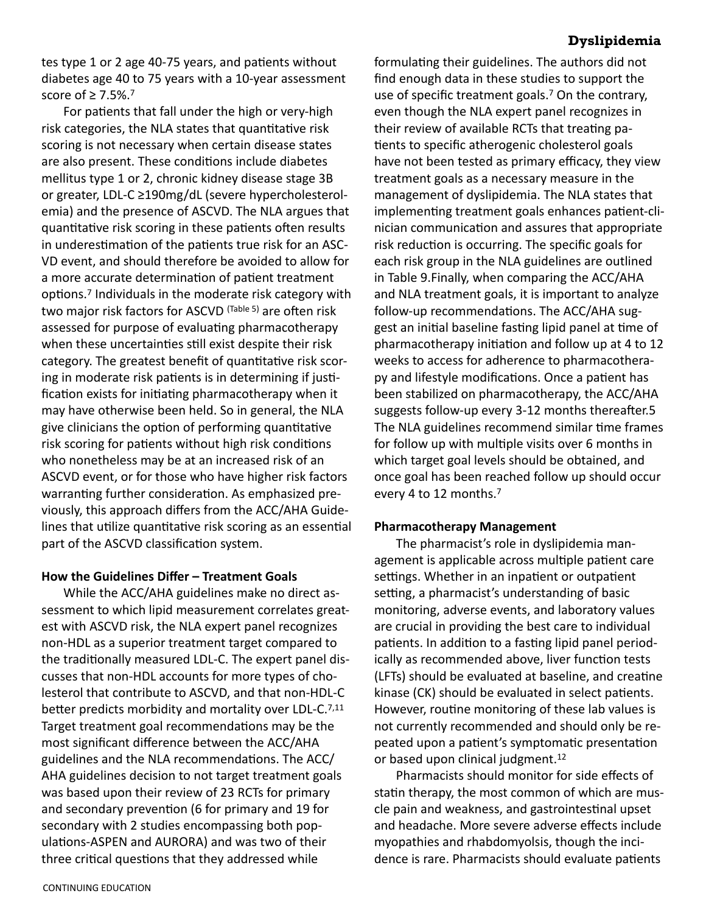tes type 1 or 2 age 40-75 years, and patients without diabetes age 40 to 75 years with a 10-year assessment score of ≥ 7.5%.7

 For patients that fall under the high or very-high risk categories, the NLA states that quantitative risk scoring is not necessary when certain disease states are also present. These conditions include diabetes mellitus type 1 or 2, chronic kidney disease stage 3B or greater, LDL-C ≥190mg/dL (severe hypercholesterolemia) and the presence of ASCVD. The NLA argues that quantitative risk scoring in these patients often results in underestimation of the patients true risk for an ASC-VD event, and should therefore be avoided to allow for a more accurate determination of patient treatment options.7 Individuals in the moderate risk category with two major risk factors for ASCVD (Table 5) are often risk assessed for purpose of evaluating pharmacotherapy when these uncertainties still exist despite their risk category. The greatest benefit of quantitative risk scoring in moderate risk patients is in determining if justification exists for initiating pharmacotherapy when it may have otherwise been held. So in general, the NLA give clinicians the option of performing quantitative risk scoring for patients without high risk conditions who nonetheless may be at an increased risk of an ASCVD event, or for those who have higher risk factors warranting further consideration. As emphasized previously, this approach differs from the ACC/AHA Guidelines that utilize quantitative risk scoring as an essential part of the ASCVD classification system.

#### **How the Guidelines Differ – Treatment Goals**

 While the ACC/AHA guidelines make no direct assessment to which lipid measurement correlates greatest with ASCVD risk, the NLA expert panel recognizes non-HDL as a superior treatment target compared to the traditionally measured LDL-C. The expert panel discusses that non-HDL accounts for more types of cholesterol that contribute to ASCVD, and that non-HDL-C better predicts morbidity and mortality over LDL-C.<sup>7,11</sup> Target treatment goal recommendations may be the most significant difference between the ACC/AHA guidelines and the NLA recommendations. The ACC/ AHA guidelines decision to not target treatment goals was based upon their review of 23 RCTs for primary and secondary prevention (6 for primary and 19 for secondary with 2 studies encompassing both populations-ASPEN and AURORA) and was two of their three critical questions that they addressed while

formulating their guidelines. The authors did not find enough data in these studies to support the use of specific treatment goals.<sup>7</sup> On the contrary, even though the NLA expert panel recognizes in their review of available RCTs that treating patients to specific atherogenic cholesterol goals have not been tested as primary efficacy, they view treatment goals as a necessary measure in the management of dyslipidemia. The NLA states that implementing treatment goals enhances patient-clinician communication and assures that appropriate risk reduction is occurring. The specific goals for each risk group in the NLA guidelines are outlined in Table 9.Finally, when comparing the ACC/AHA and NLA treatment goals, it is important to analyze follow-up recommendations. The ACC/AHA suggest an initial baseline fasting lipid panel at time of pharmacotherapy initiation and follow up at 4 to 12 weeks to access for adherence to pharmacotherapy and lifestyle modifications. Once a patient has been stabilized on pharmacotherapy, the ACC/AHA suggests follow-up every 3-12 months thereafter.5 The NLA guidelines recommend similar time frames for follow up with multiple visits over 6 months in which target goal levels should be obtained, and once goal has been reached follow up should occur every 4 to 12 months.7

#### **Pharmacotherapy Management**

 The pharmacist's role in dyslipidemia management is applicable across multiple patient care settings. Whether in an inpatient or outpatient setting, a pharmacist's understanding of basic monitoring, adverse events, and laboratory values are crucial in providing the best care to individual patients. In addition to a fasting lipid panel periodically as recommended above, liver function tests (LFTs) should be evaluated at baseline, and creatine kinase (CK) should be evaluated in select patients. However, routine monitoring of these lab values is not currently recommended and should only be repeated upon a patient's symptomatic presentation or based upon clinical judgment.<sup>12</sup>

 Pharmacists should monitor for side effects of statin therapy, the most common of which are muscle pain and weakness, and gastrointestinal upset and headache. More severe adverse effects include myopathies and rhabdomyolsis, though the incidence is rare. Pharmacists should evaluate patients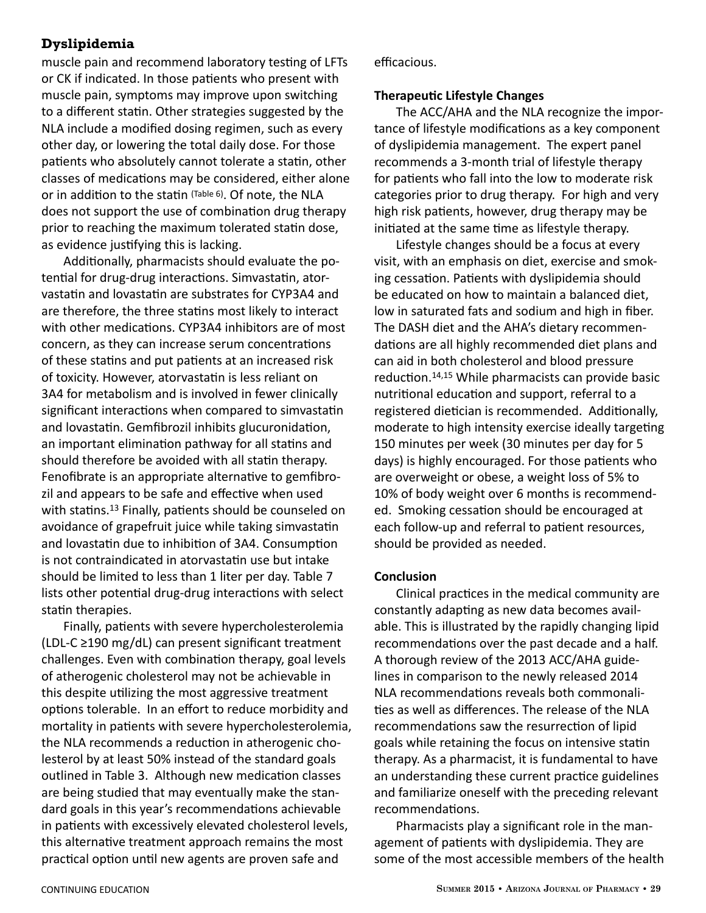muscle pain and recommend laboratory testing of LFTs or CK if indicated. In those patients who present with muscle pain, symptoms may improve upon switching to a different statin. Other strategies suggested by the NLA include a modified dosing regimen, such as every other day, or lowering the total daily dose. For those patients who absolutely cannot tolerate a statin, other classes of medications may be considered, either alone or in addition to the statin (Table 6). Of note, the NLA does not support the use of combination drug therapy prior to reaching the maximum tolerated statin dose, as evidence justifying this is lacking.

 Additionally, pharmacists should evaluate the potential for drug-drug interactions. Simvastatin, atorvastatin and lovastatin are substrates for CYP3A4 and are therefore, the three statins most likely to interact with other medications. CYP3A4 inhibitors are of most concern, as they can increase serum concentrations of these statins and put patients at an increased risk of toxicity. However, atorvastatin is less reliant on 3A4 for metabolism and is involved in fewer clinically significant interactions when compared to simvastatin and lovastatin. Gemfibrozil inhibits glucuronidation, an important elimination pathway for all statins and should therefore be avoided with all statin therapy. Fenofibrate is an appropriate alternative to gemfibrozil and appears to be safe and effective when used with statins.<sup>13</sup> Finally, patients should be counseled on avoidance of grapefruit juice while taking simvastatin and lovastatin due to inhibition of 3A4. Consumption is not contraindicated in atorvastatin use but intake should be limited to less than 1 liter per day. Table 7 lists other potential drug-drug interactions with select statin therapies.

 Finally, patients with severe hypercholesterolemia (LDL-C ≥190 mg/dL) can present significant treatment challenges. Even with combination therapy, goal levels of atherogenic cholesterol may not be achievable in this despite utilizing the most aggressive treatment options tolerable. In an effort to reduce morbidity and mortality in patients with severe hypercholesterolemia, the NLA recommends a reduction in atherogenic cholesterol by at least 50% instead of the standard goals outlined in Table 3. Although new medication classes are being studied that may eventually make the standard goals in this year's recommendations achievable in patients with excessively elevated cholesterol levels, this alternative treatment approach remains the most practical option until new agents are proven safe and

efficacious.

#### **Therapeutic Lifestyle Changes**

 The ACC/AHA and the NLA recognize the importance of lifestyle modifications as a key component of dyslipidemia management. The expert panel recommends a 3-month trial of lifestyle therapy for patients who fall into the low to moderate risk categories prior to drug therapy. For high and very high risk patients, however, drug therapy may be initiated at the same time as lifestyle therapy.

 Lifestyle changes should be a focus at every visit, with an emphasis on diet, exercise and smoking cessation. Patients with dyslipidemia should be educated on how to maintain a balanced diet, low in saturated fats and sodium and high in fiber. The DASH diet and the AHA's dietary recommendations are all highly recommended diet plans and can aid in both cholesterol and blood pressure reduction.14,15 While pharmacists can provide basic nutritional education and support, referral to a registered dietician is recommended. Additionally, moderate to high intensity exercise ideally targeting 150 minutes per week (30 minutes per day for 5 days) is highly encouraged. For those patients who are overweight or obese, a weight loss of 5% to 10% of body weight over 6 months is recommended. Smoking cessation should be encouraged at each follow-up and referral to patient resources, should be provided as needed.

#### **Conclusion**

 Clinical practices in the medical community are constantly adapting as new data becomes available. This is illustrated by the rapidly changing lipid recommendations over the past decade and a half. A thorough review of the 2013 ACC/AHA guidelines in comparison to the newly released 2014 NLA recommendations reveals both commonalities as well as differences. The release of the NLA recommendations saw the resurrection of lipid goals while retaining the focus on intensive statin therapy. As a pharmacist, it is fundamental to have an understanding these current practice guidelines and familiarize oneself with the preceding relevant recommendations.

 Pharmacists play a significant role in the management of patients with dyslipidemia. They are some of the most accessible members of the health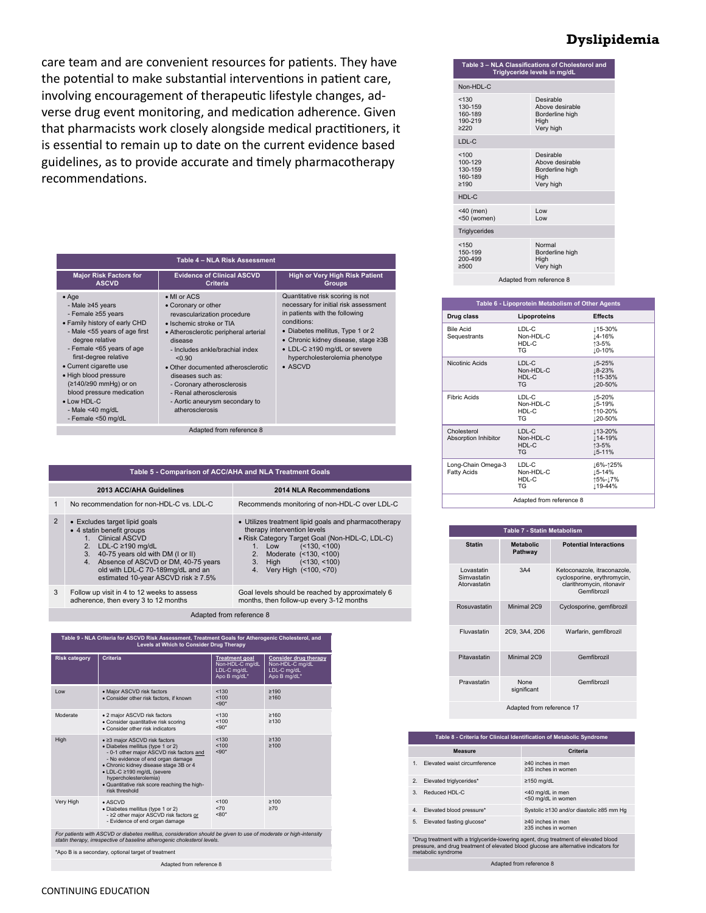care team and are convenient resources for patients. They have the potential to make substantial interventions in patient care, involving encouragement of therapeutic lifestyle changes, adverse drug event monitoring, and medication adherence. Given that pharmacists work closely alongside medical practitioners, it is essential to remain up to date on the current evidence based guidelines, as to provide accurate and timely pharmacotherapy recommendations.

| Table 4 - NLA Risk Assessment                                                                                                                                                                                                                                                                                                                                              |                                                                                                                                                                                                                                                                                                                                                                         |                                                                                                                                                                                                                                                                                            |
|----------------------------------------------------------------------------------------------------------------------------------------------------------------------------------------------------------------------------------------------------------------------------------------------------------------------------------------------------------------------------|-------------------------------------------------------------------------------------------------------------------------------------------------------------------------------------------------------------------------------------------------------------------------------------------------------------------------------------------------------------------------|--------------------------------------------------------------------------------------------------------------------------------------------------------------------------------------------------------------------------------------------------------------------------------------------|
| <b>Major Risk Factors for</b><br><b>ASCVD</b>                                                                                                                                                                                                                                                                                                                              | <b>Evidence of Clinical ASCVD</b><br>Criteria                                                                                                                                                                                                                                                                                                                           | <b>High or Very High Risk Patient</b><br><b>Groups</b>                                                                                                                                                                                                                                     |
| $•$ Age<br>- Male ≥45 years<br>- Female ≥55 years<br>• Family history of early CHD<br>- Male <55 years of age first<br>degree relative<br>- Female <65 years of age<br>first-degree relative<br>• Current cigarette use<br>• High blood pressure<br>(≥140/≥90 mmHg) or on<br>blood pressure medication<br>$\bullet$ Low HDL-C<br>- Male $<$ 40 mg/dL<br>- Female <50 mg/dL | • MI or ACS<br>• Coronary or other<br>revascularization procedure<br>• Ischemic stroke or TIA<br>• Atherosclerotic peripheral arterial<br>disease<br>- Includes ankle/brachial index<br>< 0.90<br>• Other documented atherosclerotic<br>diseases such as:<br>- Coronary atherosclerosis<br>- Renal atherosclerosis<br>- Aortic aneurysm secondary to<br>atherosclerosis | Quantitative risk scoring is not<br>necessary for initial risk assessment<br>in patients with the following<br>conditions:<br>• Diabetes mellitus, Type 1 or 2<br>• Chronic kidney disease, stage ≥3B<br>• LDL-C ≥190 mg/dL or severe<br>hypercholesterolemia phenotype<br>$\bullet$ ASCVD |
|                                                                                                                                                                                                                                                                                                                                                                            | Adapted from reference 8                                                                                                                                                                                                                                                                                                                                                |                                                                                                                                                                                                                                                                                            |

|              | Table 5 - Comparison of ACC/AHA and NLA Treatment Goals                                                                                                                                                                                                                            |                                                                                                                                                                                                                                                         |  |
|--------------|------------------------------------------------------------------------------------------------------------------------------------------------------------------------------------------------------------------------------------------------------------------------------------|---------------------------------------------------------------------------------------------------------------------------------------------------------------------------------------------------------------------------------------------------------|--|
|              | 2013 ACC/AHA Guidelines                                                                                                                                                                                                                                                            | 2014 NLA Recommendations                                                                                                                                                                                                                                |  |
| $\mathbf{1}$ | No recommendation for non-HDL-C vs. LDL-C                                                                                                                                                                                                                                          | Recommends monitoring of non-HDL-C over LDL-C                                                                                                                                                                                                           |  |
| 2            | • Excludes target lipid goals<br>• 4 statin benefit groups<br>Clinical ASCVD<br>1<br>LDL-C $\geq$ 190 mg/dL<br>2.<br>40-75 years old with DM (I or II)<br>3.<br>4. Absence of ASCVD or DM, 40-75 years<br>old with LDL-C 70-189mg/dL and an<br>estimated 10-year ASCVD risk ≥ 7.5% | • Utilizes treatment lipid goals and pharmacotherapy<br>therapy intervention levels<br>• Risk Category Target Goal (Non-HDL-C, LDL-C)<br>$($ < 130 $,$ < 100 $)$<br>Low<br>2. Moderate (<130, <100)<br>3. High (<130, <100)<br>4. Very High (<100, <70) |  |
| 3            | Follow up visit in 4 to 12 weeks to assess<br>adherence, then every 3 to 12 months                                                                                                                                                                                                 | Goal levels should be reached by approximately 6<br>months, then follow-up every 3-12 months                                                                                                                                                            |  |

Adapted from reference 8

| Table 9 - NLA Criteria for ASCVD Risk Assessment, Treatment Goals for Atherogenic Cholesterol, and<br>Levels at Which to Consider Drug Therapy                                               |                                                                                                                                                                                                                                                                                                                        |                                                                         |                                                                                |
|----------------------------------------------------------------------------------------------------------------------------------------------------------------------------------------------|------------------------------------------------------------------------------------------------------------------------------------------------------------------------------------------------------------------------------------------------------------------------------------------------------------------------|-------------------------------------------------------------------------|--------------------------------------------------------------------------------|
| <b>Risk category</b>                                                                                                                                                                         | Criteria                                                                                                                                                                                                                                                                                                               | <b>Treatment goal</b><br>Non-HDL-C mg/dL<br>LDL-C mg/dL<br>Apo B mg/dL* | <b>Consider drug therapy</b><br>Non-HDL-C mg/dL<br>LDL-C mg/dL<br>Apo B mg/dL* |
| I ow                                                                                                                                                                                         | • Maior ASCVD risk factors<br>• Consider other risk factors, if known                                                                                                                                                                                                                                                  | < 130<br>100<br>$< 90*$                                                 | ≥190<br>≥160                                                                   |
| Moderate                                                                                                                                                                                     | • 2 maior ASCVD risk factors<br>• Consider quantitative risk scoring<br>• Consider other risk indicators                                                                                                                                                                                                               | < 130<br>< 100<br>$5.90*$                                               | ≥160<br>≥130                                                                   |
| High                                                                                                                                                                                         | • ≥3 major ASCVD risk factors<br>· Diabetes mellitus (type 1 or 2)<br>- 0-1 other maior ASCVD risk factors and<br>- No evidence of end organ damage<br>• Chronic kidney disease stage 3B or 4<br>• LDL-C ≥190 mg/dL (severe<br>hypercholesterolemia)<br>. Quantitative risk score reaching the high-<br>risk threshold | < 130<br>100<br>$< 90*$                                                 | ≥130<br>≥100                                                                   |
| Very High                                                                                                                                                                                    | $\bullet$ ASCVD<br>· Diabetes mellitus (type 1 or 2)<br>- ≥2 other maior ASCVD risk factors or<br>- Evidence of end organ damage                                                                                                                                                                                       | 100<br>$5 - 70$<br>$< 80*$                                              | $\geq 100$<br>$\geq 70$                                                        |
| For patients with ASCVD or diabetes mellitus, consideration should be given to use of moderate or high-intensity<br>statin therapy, irrespective of baseline atherogenic cholesterol levels. |                                                                                                                                                                                                                                                                                                                        |                                                                         |                                                                                |
| *Apo B is a secondary, optional target of treatment                                                                                                                                          |                                                                                                                                                                                                                                                                                                                        |                                                                         |                                                                                |
| Adapted from reference 8                                                                                                                                                                     |                                                                                                                                                                                                                                                                                                                        |                                                                         |                                                                                |

| Table 3 - NLA Classifications of Cholesterol and<br>Triglyceride levels in mg/dL |                                                                      |  |
|----------------------------------------------------------------------------------|----------------------------------------------------------------------|--|
| Non-HDL-C                                                                        |                                                                      |  |
| < 130<br>130-159<br>160-189<br>190-219<br>2220                                   | Desirable<br>Above desirable<br>Borderline high<br>High<br>Very high |  |
| LDL-C                                                                            |                                                                      |  |
| 100<br>100-129<br>130-159<br>160-189<br>≥190                                     | Desirable<br>Above desirable<br>Borderline high<br>Hiah<br>Very high |  |
| HDL-C                                                                            |                                                                      |  |
| $<$ 40 (men)<br><50 (women)                                                      | Low<br>Low                                                           |  |
| Triglycerides                                                                    |                                                                      |  |
| < 150<br>150-199<br>200-499<br>≥500                                              | Normal<br>Borderline high<br>High<br>Very high                       |  |
| Adapted from reference 8                                                         |                                                                      |  |

| Table 6 - Lipoprotein Metabolism of Other Agents |                                          |                                          |
|--------------------------------------------------|------------------------------------------|------------------------------------------|
| Drug class                                       | Lipoproteins                             | <b>Effects</b>                           |
| <b>Bile Acid</b><br>Sequestrants                 | LDL-C<br>Non-HDL-C<br>HDL-C<br>TG.       | ⊥15-30%<br>14-16%<br>↑3-5%<br>⊥0-10%     |
| Nicotinic Acids                                  | LDL-C<br>Non-HDL-C<br>HDL-C<br>TG.       | 15-25%<br>18-23%<br>115-35%<br>120-50%   |
| <b>Fibric Acids</b>                              | LDL-C<br>Non-HDL-C<br>HDL-C<br><b>TG</b> | ⊥5-20%<br>⊥5-19%<br>110-20%<br>120-50%   |
| Cholesterol<br>Absorption Inhibitor              | LDL-C<br>Non-HDL-C<br>HDL-C<br><b>TG</b> | ⊥13-20%<br>⊥14-19%<br>↑3-5%<br>15-11%    |
| Long-Chain Omega-3<br><b>Fatty Acids</b>         | LDL-C<br>Non-HDL-C<br>HDL-C<br><b>TG</b> | 16%-↑25%<br>⊥5-14%<br>15%-17%<br>119-44% |
| Adapted from reference 8                         |                                          |                                          |

| <b>Table 7 - Statin Metabolism</b>        |                             |                                                                                                        |
|-------------------------------------------|-----------------------------|--------------------------------------------------------------------------------------------------------|
| <b>Statin</b>                             | <b>Metabolic</b><br>Pathway | <b>Potential Interactions</b>                                                                          |
| Lovastatin<br>Simvastatin<br>Atorvastatin | 3A4                         | Ketoconazole, itraconazole,<br>cyclosporine, erythromycin,<br>clarithromycin, ritonavir<br>Gemfibrozil |
| Rosuvastatin                              | Minimal 2C9                 | Cyclosporine, gemfibrozil                                                                              |
| Fluvastatin                               | 2C9, 3A4, 2D6               | Warfarin, gemfibrozil                                                                                  |
| Pitavastatin                              | Minimal 2C9                 | Gemfibrozil                                                                                            |
| Pravastatin                               | <b>None</b><br>significant  | Gemfibrozil                                                                                            |
| Adapted from reference 17                 |                             |                                                                                                        |

|                | Table 8 - Criteria for Clinical Identification of Metabolic Syndrome                 |                                                |  |
|----------------|--------------------------------------------------------------------------------------|------------------------------------------------|--|
|                | <b>Measure</b>                                                                       | Criteria                                       |  |
| 1.             | Elevated waist circumference                                                         | $\geq 40$ inches in men<br>≥35 inches in women |  |
| 2.             | Elevated triglycerides*                                                              | $\geq$ 150 mg/dL                               |  |
| 3.             | Reduced HDI -C                                                                       | <40 mg/dL in men<br><50 mg/dL in women         |  |
| 4 <sup>1</sup> | Elevated blood pressure*                                                             | Systolic ≥130 and/or diastolic ≥85 mm Hg       |  |
| 5.             | Elevated fasting glucose*                                                            | $\geq 40$ inches in men<br>≥35 inches in women |  |
|                | *Drug treatment with a triglyceride-lowering agent, drug treatment of elevated blood |                                                |  |

\*Drug treatment with a triglyceride-lowering agent, drug treatment of elevated blood pressure, and drug treatment of elevated blood glucose are alternative indicators for metabolic syndrome

Adapted from reference 8